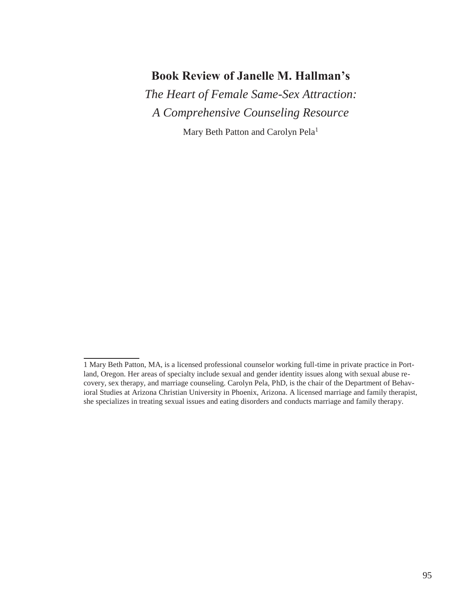### **Book Review of Janelle M. Hallman's**

*The Heart of Female Same-Sex Attraction: A Comprehensive Counseling Resource*

Mary Beth Patton and Carolyn Pela<sup>1</sup>

<sup>1</sup> Mary Beth Patton, MA, is a licensed professional counselor working full-time in private practice in Portland, Oregon. Her areas of specialty include sexual and gender identity issues along with sexual abuse recovery, sex therapy, and marriage counseling. Carolyn Pela, PhD, is the chair of the Department of Behavioral Studies at Arizona Christian University in Phoenix, Arizona. A licensed marriage and family therapist, she specializes in treating sexual issues and eating disorders and conducts marriage and family therapy.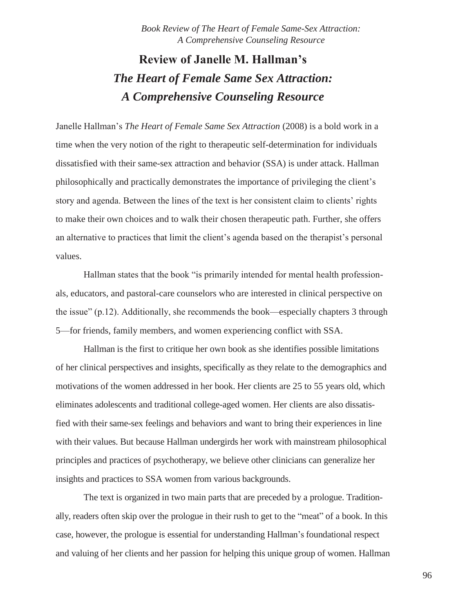# **Review of Janelle M. Hallman's** *The Heart of Female Same Sex Attraction: A Comprehensive Counseling Resource*

Janelle Hallman's *The Heart of Female Same Sex Attraction* (2008) is a bold work in a time when the very notion of the right to therapeutic self-determination for individuals dissatisfied with their same-sex attraction and behavior (SSA) is under attack. Hallman philosophically and practically demonstrates the importance of privileging the client's story and agenda. Between the lines of the text is her consistent claim to clients' rights to make their own choices and to walk their chosen therapeutic path. Further, she offers an alternative to practices that limit the client's agenda based on the therapist's personal values.

Hallman states that the book "is primarily intended for mental health professionals, educators, and pastoral-care counselors who are interested in clinical perspective on the issue" (p.12). Additionally, she recommends the book—especially chapters 3 through 5—for friends, family members, and women experiencing conflict with SSA.

Hallman is the first to critique her own book as she identifies possible limitations of her clinical perspectives and insights, specifically as they relate to the demographics and motivations of the women addressed in her book. Her clients are 25 to 55 years old, which eliminates adolescents and traditional college-aged women. Her clients are also dissatisfied with their same-sex feelings and behaviors and want to bring their experiences in line with their values. But because Hallman undergirds her work with mainstream philosophical principles and practices of psychotherapy, we believe other clinicians can generalize her insights and practices to SSA women from various backgrounds.

The text is organized in two main parts that are preceded by a prologue. Traditionally, readers often skip over the prologue in their rush to get to the "meat" of a book. In this case, however, the prologue is essential for understanding Hallman's foundational respect and valuing of her clients and her passion for helping this unique group of women. Hallman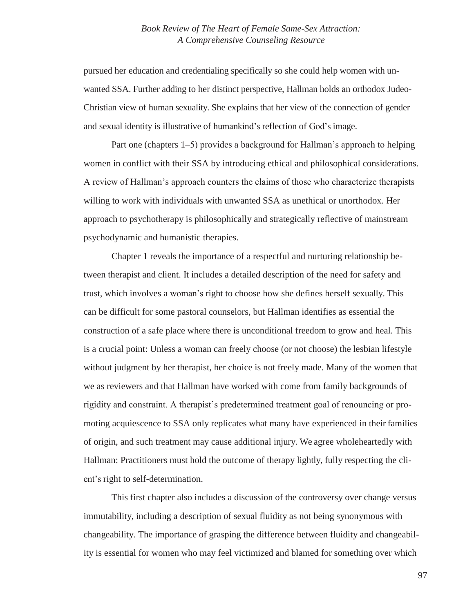pursued her education and credentialing specifically so she could help women with unwanted SSA. Further adding to her distinct perspective, Hallman holds an orthodox Judeo-Christian view of human sexuality. She explains that her view of the connection of gender and sexual identity is illustrative of humankind's reflection of God's image.

Part one (chapters 1–5) provides a background for Hallman's approach to helping women in conflict with their SSA by introducing ethical and philosophical considerations. A review of Hallman's approach counters the claims of those who characterize therapists willing to work with individuals with unwanted SSA as unethical or unorthodox. Her approach to psychotherapy is philosophically and strategically reflective of mainstream psychodynamic and humanistic therapies.

Chapter 1 reveals the importance of a respectful and nurturing relationship between therapist and client. It includes a detailed description of the need for safety and trust, which involves a woman's right to choose how she defines herself sexually. This can be difficult for some pastoral counselors, but Hallman identifies as essential the construction of a safe place where there is unconditional freedom to grow and heal. This is a crucial point: Unless a woman can freely choose (or not choose) the lesbian lifestyle without judgment by her therapist, her choice is not freely made. Many of the women that we as reviewers and that Hallman have worked with come from family backgrounds of rigidity and constraint. A therapist's predetermined treatment goal of renouncing or promoting acquiescence to SSA only replicates what many have experienced in their families of origin, and such treatment may cause additional injury. We agree wholeheartedly with Hallman: Practitioners must hold the outcome of therapy lightly, fully respecting the client's right to self-determination.

This first chapter also includes a discussion of the controversy over change versus immutability, including a description of sexual fluidity as not being synonymous with changeability. The importance of grasping the difference between fluidity and changeability is essential for women who may feel victimized and blamed for something over which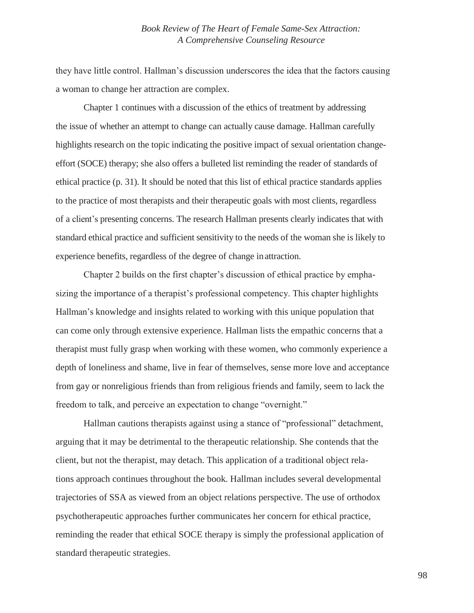they have little control. Hallman's discussion underscores the idea that the factors causing a woman to change her attraction are complex.

Chapter 1 continues with a discussion of the ethics of treatment by addressing the issue of whether an attempt to change can actually cause damage. Hallman carefully highlights research on the topic indicating the positive impact of sexual orientation changeeffort (SOCE) therapy; she also offers a bulleted list reminding the reader of standards of ethical practice (p. 31). It should be noted that this list of ethical practice standards applies to the practice of most therapists and their therapeutic goals with most clients, regardless of a client's presenting concerns. The research Hallman presents clearly indicates that with standard ethical practice and sufficient sensitivity to the needs of the woman she is likely to experience benefits, regardless of the degree of change inattraction.

Chapter 2 builds on the first chapter's discussion of ethical practice by emphasizing the importance of a therapist's professional competency. This chapter highlights Hallman's knowledge and insights related to working with this unique population that can come only through extensive experience. Hallman lists the empathic concerns that a therapist must fully grasp when working with these women, who commonly experience a depth of loneliness and shame, live in fear of themselves, sense more love and acceptance from gay or nonreligious friends than from religious friends and family, seem to lack the freedom to talk, and perceive an expectation to change "overnight."

Hallman cautions therapists against using a stance of "professional" detachment, arguing that it may be detrimental to the therapeutic relationship. She contends that the client, but not the therapist, may detach. This application of a traditional object relations approach continues throughout the book. Hallman includes several developmental trajectories of SSA as viewed from an object relations perspective. The use of orthodox psychotherapeutic approaches further communicates her concern for ethical practice, reminding the reader that ethical SOCE therapy is simply the professional application of standard therapeutic strategies.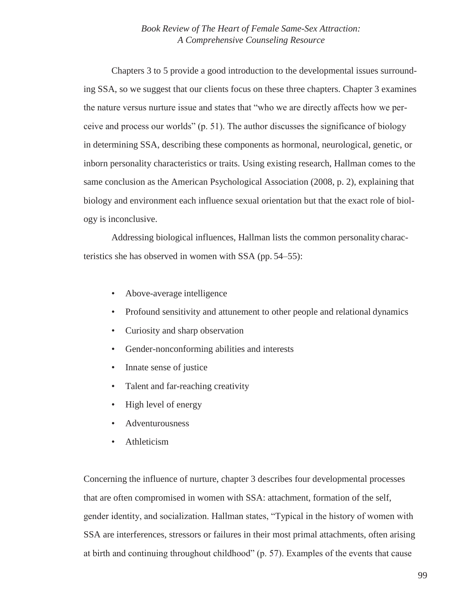Chapters 3 to 5 provide a good introduction to the developmental issues surrounding SSA, so we suggest that our clients focus on these three chapters. Chapter 3 examines the nature versus nurture issue and states that "who we are directly affects how we perceive and process our worlds" (p. 51). The author discusses the significance of biology in determining SSA, describing these components as hormonal, neurological, genetic, or inborn personality characteristics or traits. Using existing research, Hallman comes to the same conclusion as the American Psychological Association (2008, p. 2), explaining that biology and environment each influence sexual orientation but that the exact role of biology is inconclusive.

Addressing biological influences, Hallman lists the common personality characteristics she has observed in women with SSA (pp. 54–55):

- Above-average intelligence
- Profound sensitivity and attunement to other people and relational dynamics
- Curiosity and sharp observation
- Gender-nonconforming abilities and interests
- Innate sense of justice
- Talent and far-reaching creativity
- High level of energy
- Adventurousness
- Athleticism

Concerning the influence of nurture, chapter 3 describes four developmental processes that are often compromised in women with SSA: attachment, formation of the self, gender identity, and socialization. Hallman states, "Typical in the history of women with SSA are interferences, stressors or failures in their most primal attachments, often arising at birth and continuing throughout childhood" (p. 57). Examples of the events that cause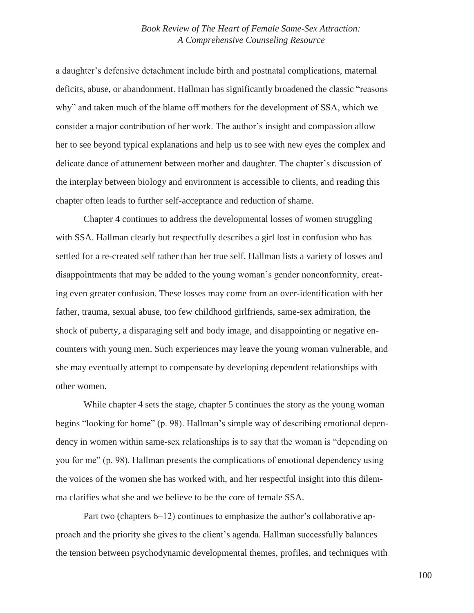a daughter's defensive detachment include birth and postnatal complications, maternal deficits, abuse, or abandonment. Hallman has significantly broadened the classic "reasons why" and taken much of the blame off mothers for the development of SSA, which we consider a major contribution of her work. The author's insight and compassion allow her to see beyond typical explanations and help us to see with new eyes the complex and delicate dance of attunement between mother and daughter. The chapter's discussion of the interplay between biology and environment is accessible to clients, and reading this chapter often leads to further self-acceptance and reduction of shame.

Chapter 4 continues to address the developmental losses of women struggling with SSA. Hallman clearly but respectfully describes a girl lost in confusion who has settled for a re-created self rather than her true self. Hallman lists a variety of losses and disappointments that may be added to the young woman's gender nonconformity, creating even greater confusion. These losses may come from an over-identification with her father, trauma, sexual abuse, too few childhood girlfriends, same-sex admiration, the shock of puberty, a disparaging self and body image, and disappointing or negative encounters with young men. Such experiences may leave the young woman vulnerable, and she may eventually attempt to compensate by developing dependent relationships with other women.

While chapter 4 sets the stage, chapter 5 continues the story as the young woman begins "looking for home" (p. 98). Hallman's simple way of describing emotional dependency in women within same-sex relationships is to say that the woman is "depending on you for me" (p. 98). Hallman presents the complications of emotional dependency using the voices of the women she has worked with, and her respectful insight into this dilemma clarifies what she and we believe to be the core of female SSA.

Part two (chapters 6–12) continues to emphasize the author's collaborative approach and the priority she gives to the client's agenda. Hallman successfully balances the tension between psychodynamic developmental themes, profiles, and techniques with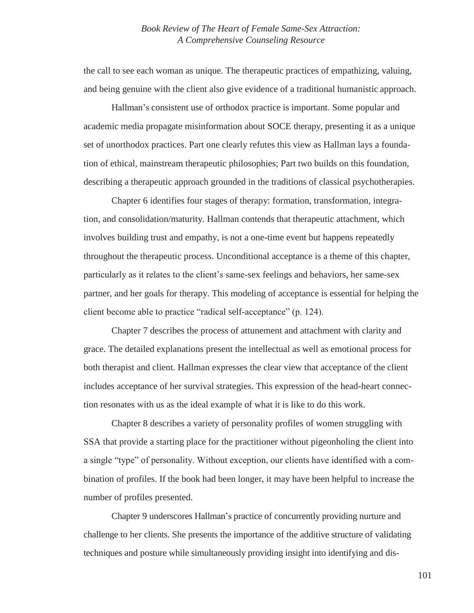the call to see each woman as unique. The therapeutic practices of empathizing, valuing, and being genuine with the client also give evidence of a traditional humanistic approach.

Hallman's consistent use of orthodox practice is important. Some popular and academic media propagate misinformation about SOCE therapy, presenting it as a unique set of unorthodox practices. Part one clearly refutes this view as Hallman lays a foundation of ethical, mainstream therapeutic philosophies; Part two builds on this foundation, describing a therapeutic approach grounded in the traditions of classical psychotherapies.

Chapter 6 identifies four stages of therapy: formation, transformation, integration, and consolidation/maturity. Hallman contends that therapeutic attachment, which involves building trust and empathy, is not a one-time event but happens repeatedly throughout the therapeutic process. Unconditional acceptance is a theme of this chapter, particularly as it relates to the client's same-sex feelings and behaviors, her same-sex partner, and her goals for therapy. This modeling of acceptance is essential for helping the client become able to practice "radical self-acceptance" (p. 124).

Chapter 7 describes the process of attunement and attachment with clarity and grace. The detailed explanations present the intellectual as well as emotional process for both therapist and client. Hallman expresses the clear view that acceptance of the client includes acceptance of her survival strategies. This expression of the head-heart connection resonates with us as the ideal example of what it is like to do this work.

Chapter 8 describes a variety of personality profiles of women struggling with SSA that provide a starting place for the practitioner without pigeonholing the client into a single "type" of personality. Without exception, our clients have identified with a combination of profiles. If the book had been longer, it may have been helpful to increase the number of profiles presented.

Chapter 9 underscores Hallman's practice of concurrently providing nurture and challenge to her clients. She presents the importance of the additive structure of validating techniques and posture while simultaneously providing insight into identifying and dis-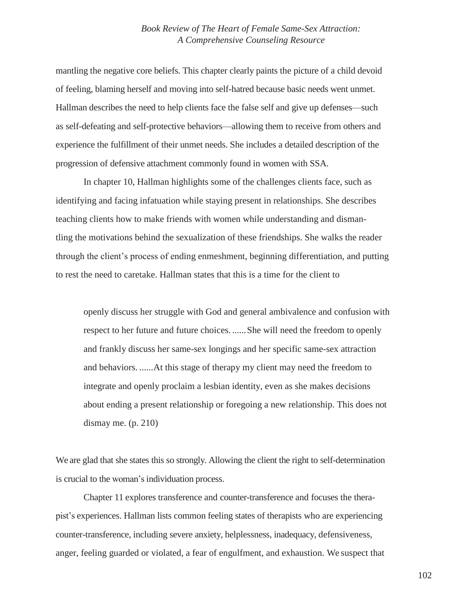mantling the negative core beliefs. This chapter clearly paints the picture of a child devoid of feeling, blaming herself and moving into self-hatred because basic needs went unmet. Hallman describes the need to help clients face the false self and give up defenses—such as self-defeating and self-protective behaviors—allowing them to receive from others and experience the fulfillment of their unmet needs. She includes a detailed description of the progression of defensive attachment commonly found in women with SSA.

In chapter 10, Hallman highlights some of the challenges clients face, such as identifying and facing infatuation while staying present in relationships. She describes teaching clients how to make friends with women while understanding and dismantling the motivations behind the sexualization of these friendships. She walks the reader through the client's process of ending enmeshment, beginning differentiation, and putting to rest the need to caretake. Hallman states that this is a time for the client to

openly discuss her struggle with God and general ambivalence and confusion with respect to her future and future choices. ......She will need the freedom to openly and frankly discuss her same-sex longings and her specific same-sex attraction and behaviors. ......At this stage of therapy my client may need the freedom to integrate and openly proclaim a lesbian identity, even as she makes decisions about ending a present relationship or foregoing a new relationship. This does not dismay me.  $(p. 210)$ 

We are glad that she states this so strongly. Allowing the client the right to self-determination is crucial to the woman's individuation process.

Chapter 11 explores transference and counter-transference and focuses the therapist's experiences. Hallman lists common feeling states of therapists who are experiencing counter-transference, including severe anxiety, helplessness, inadequacy, defensiveness, anger, feeling guarded or violated, a fear of engulfment, and exhaustion. We suspect that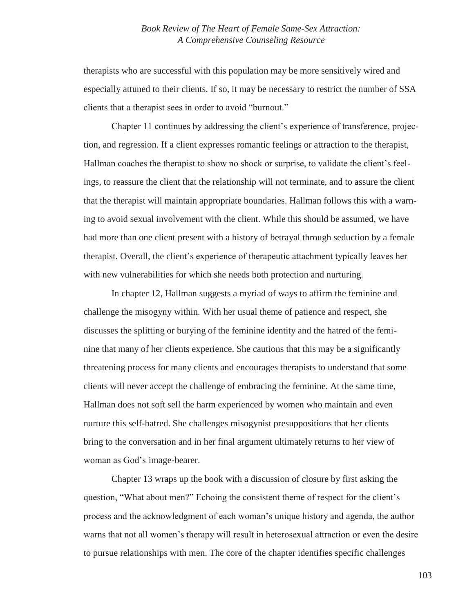therapists who are successful with this population may be more sensitively wired and especially attuned to their clients. If so, it may be necessary to restrict the number of SSA clients that a therapist sees in order to avoid "burnout."

Chapter 11 continues by addressing the client's experience of transference, projection, and regression. If a client expresses romantic feelings or attraction to the therapist, Hallman coaches the therapist to show no shock or surprise, to validate the client's feelings, to reassure the client that the relationship will not terminate, and to assure the client that the therapist will maintain appropriate boundaries. Hallman follows this with a warning to avoid sexual involvement with the client. While this should be assumed, we have had more than one client present with a history of betrayal through seduction by a female therapist. Overall, the client's experience of therapeutic attachment typically leaves her with new vulnerabilities for which she needs both protection and nurturing.

In chapter 12, Hallman suggests a myriad of ways to affirm the feminine and challenge the misogyny within. With her usual theme of patience and respect, she discusses the splitting or burying of the feminine identity and the hatred of the feminine that many of her clients experience. She cautions that this may be a significantly threatening process for many clients and encourages therapists to understand that some clients will never accept the challenge of embracing the feminine. At the same time, Hallman does not soft sell the harm experienced by women who maintain and even nurture this self-hatred. She challenges misogynist presuppositions that her clients bring to the conversation and in her final argument ultimately returns to her view of woman as God's image-bearer.

Chapter 13 wraps up the book with a discussion of closure by first asking the question, "What about men?" Echoing the consistent theme of respect for the client's process and the acknowledgment of each woman's unique history and agenda, the author warns that not all women's therapy will result in heterosexual attraction or even the desire to pursue relationships with men. The core of the chapter identifies specific challenges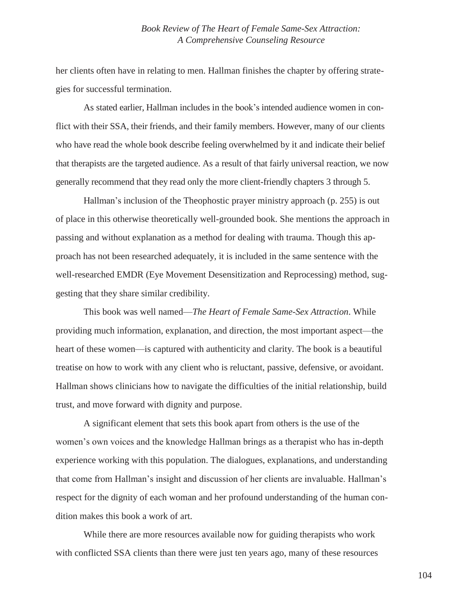her clients often have in relating to men. Hallman finishes the chapter by offering strategies for successful termination.

As stated earlier, Hallman includes in the book's intended audience women in conflict with their SSA, their friends, and their family members. However, many of our clients who have read the whole book describe feeling overwhelmed by it and indicate their belief that therapists are the targeted audience. As a result of that fairly universal reaction, we now generally recommend that they read only the more client-friendly chapters 3 through 5.

Hallman's inclusion of the Theophostic prayer ministry approach (p. 255) is out of place in this otherwise theoretically well-grounded book. She mentions the approach in passing and without explanation as a method for dealing with trauma. Though this approach has not been researched adequately, it is included in the same sentence with the well-researched EMDR (Eye Movement Desensitization and Reprocessing) method, suggesting that they share similar credibility.

This book was well named—*The Heart of Female Same-Sex Attraction*. While providing much information, explanation, and direction, the most important aspect—the heart of these women—is captured with authenticity and clarity. The book is a beautiful treatise on how to work with any client who is reluctant, passive, defensive, or avoidant. Hallman shows clinicians how to navigate the difficulties of the initial relationship, build trust, and move forward with dignity and purpose.

A significant element that sets this book apart from others is the use of the women's own voices and the knowledge Hallman brings as a therapist who has in-depth experience working with this population. The dialogues, explanations, and understanding that come from Hallman's insight and discussion of her clients are invaluable. Hallman's respect for the dignity of each woman and her profound understanding of the human condition makes this book a work of art.

While there are more resources available now for guiding therapists who work with conflicted SSA clients than there were just ten years ago, many of these resources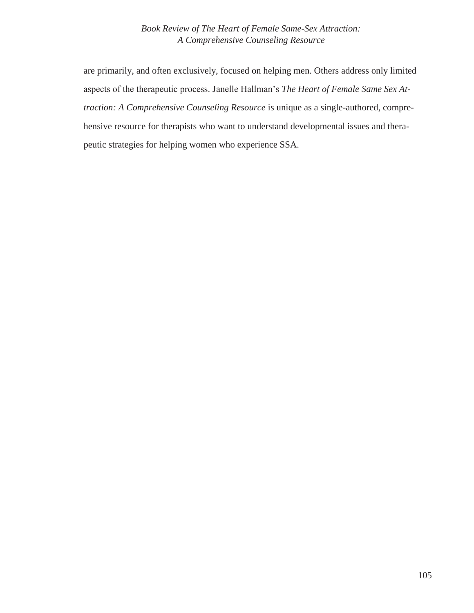are primarily, and often exclusively, focused on helping men. Others address only limited aspects of the therapeutic process. Janelle Hallman's *The Heart of Female Same Sex Attraction: A Comprehensive Counseling Resource* is unique as a single-authored, comprehensive resource for therapists who want to understand developmental issues and therapeutic strategies for helping women who experience SSA.